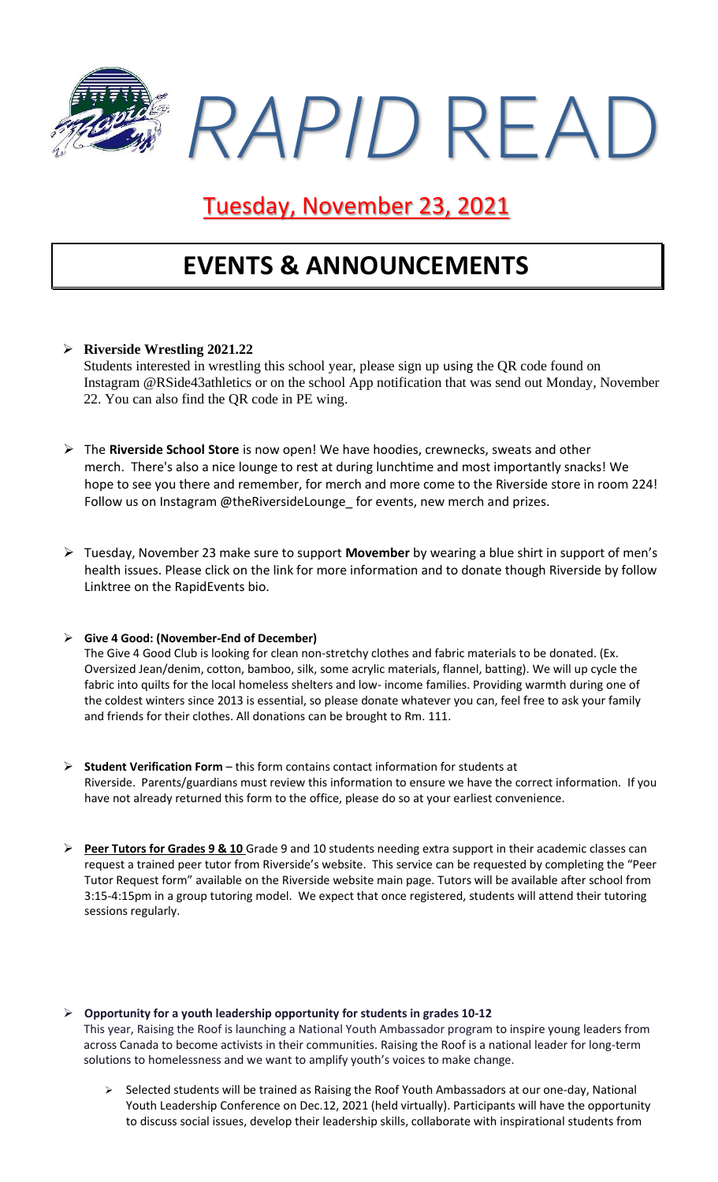

## Tuesday, November 23, 2021

## **EVENTS & ANNOUNCEMENTS**

### ➢ **Riverside Wrestling 2021.22**

Students interested in wrestling this school year, please sign up using the QR code found on Instagram @RSide43athletics or on the school App notification that was send out Monday, November 22. You can also find the QR code in PE wing.

- ➢ The **Riverside School Store** is now open! We have hoodies, crewnecks, sweats and other merch. There's also a nice lounge to rest at during lunchtime and most importantly snacks! We hope to see you there and remember, for merch and more come to the Riverside store in room 224! Follow us on Instagram @theRiversideLounge for events, new merch and prizes.
- ➢ Tuesday, November 23 make sure to support **Movember** by wearing a blue shirt in support of men's health issues. Please click on the link for more information and to donate though Riverside by follow Linktree on the RapidEvents bio.

#### ➢ **Give 4 Good: (November-End of December)**

The Give 4 Good Club is looking for clean non-stretchy clothes and fabric materials to be donated. (Ex. Oversized Jean/denim, cotton, bamboo, silk, some acrylic materials, flannel, batting). We will up cycle the fabric into quilts for the local homeless shelters and low- income families. Providing warmth during one of the coldest winters since 2013 is essential, so please donate whatever you can, feel free to ask your family and friends for their clothes. All donations can be brought to Rm. 111.

- ➢ **Student Verification Form** this form contains contact information for students at Riverside. Parents/guardians must review this information to ensure we have the correct information. If you have not already returned this form to the office, please do so at your earliest convenience.
- ➢ **Peer Tutors for Grades 9 & 10** Grade 9 and 10 students needing extra support in their academic classes can request a trained peer tutor from Riverside's website. This service can be requested by completing the "Peer Tutor Request form" available on the Riverside website main page. Tutors will be available after school from 3:15-4:15pm in a group tutoring model. We expect that once registered, students will attend their tutoring sessions regularly.
- ➢ **Opportunity for a youth leadership opportunity for students in grades 10-12** This year, Raising the Roof is launching a National Youth Ambassador program to inspire young leaders from across Canada to become activists in their communities. Raising the Roof is a national leader for long-term solutions to homelessness and we want to amplify youth's voices to make change.
	- ➢ Selected students will be trained as Raising the Roof Youth Ambassadors at our one-day, National Youth Leadership Conference on Dec.12, 2021 (held virtually). Participants will have the opportunity to discuss social issues, develop their leadership skills, collaborate with inspirational students from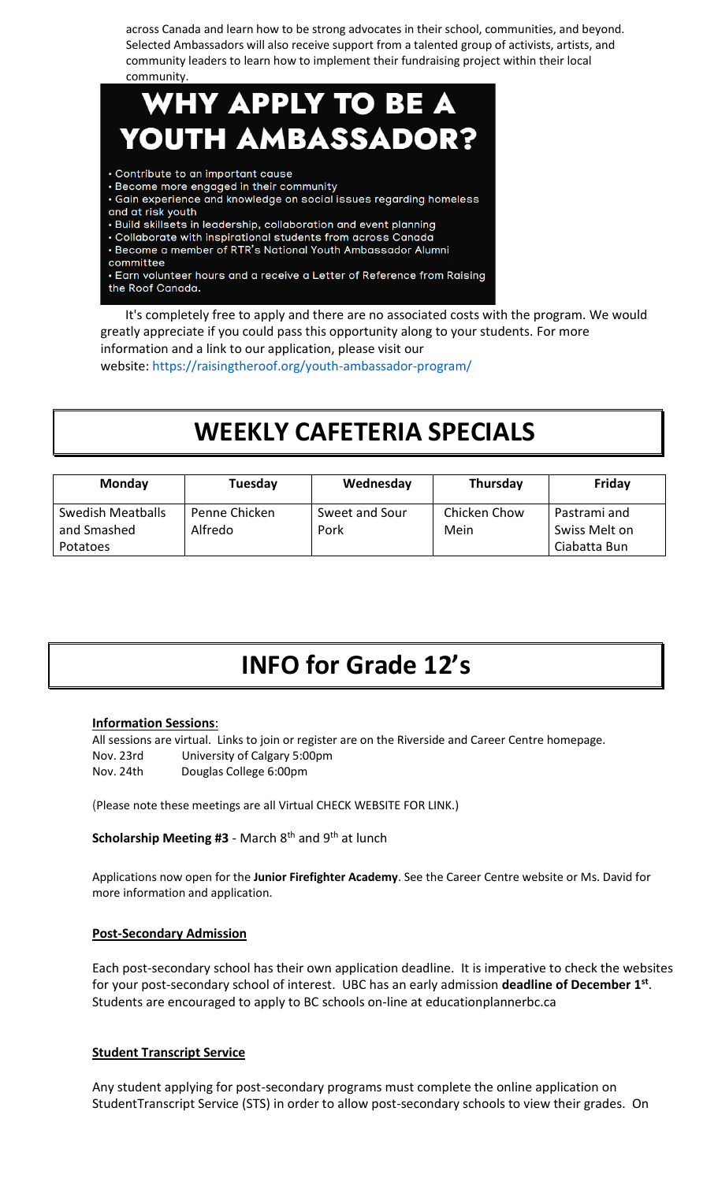across Canada and learn how to be strong advocates in their school, communities, and beyond. Selected Ambassadors will also receive support from a talented group of activists, artists, and community leaders to learn how to implement their fundraising project within their local community.

### WHY APPLY TO BE A YOUTH AMBASSADOR? · Contribute to an important cause · Become more engaged in their community

- · Gain experience and knowledge on social issues regarding homeless and at risk youth
- Build skillsets in leadership, collaboration and event planning
- Collaborate with inspirational students from across Canada
- Become a member of RTR's National Youth Ambassador Alumni
- committee

• Earn volunteer hours and a receive a Letter of Reference from Raising the Roof Canada.

It's completely free to apply and there are no associated costs with the program. We would greatly appreciate if you could pass this opportunity along to your students. For more information and a link to our application, please visit our website: <https://raisingtheroof.org/youth-ambassador-program/>

# **WEEKLY CAFETERIA SPECIALS**

| <b>Monday</b>                                       | Tuesday                  | Wednesday              | Thursday             | Friday                                        |
|-----------------------------------------------------|--------------------------|------------------------|----------------------|-----------------------------------------------|
| Swedish Meatballs<br>and Smashed<br><b>Potatoes</b> | Penne Chicken<br>Alfredo | Sweet and Sour<br>Pork | Chicken Chow<br>Mein | Pastrami and<br>Swiss Melt on<br>Ciabatta Bun |

# **INFO for Grade 12's**

### **Information Sessions**:

All sessions are virtual. Links to join or register are on the Riverside and Career Centre homepage. Nov. 23rd University of Calgary 5:00pm Nov. 24th Douglas College 6:00pm

(Please note these meetings are all Virtual CHECK WEBSITE FOR LINK.)

Scholarship Meeting #3 - March 8<sup>th</sup> and 9<sup>th</sup> at lunch

Applications now open for the **Junior Firefighter Academy**. See the Career Centre website or Ms. David for more information and application.

### **Post-Secondary Admission**

Each post-secondary school has their own application deadline. It is imperative to check the websites for your post-secondary school of interest. UBC has an early admission **deadline of December 1st** . Students are encouraged to apply to BC schools on-line at educationplannerbc.ca

### **Student Transcript Service**

Any student applying for post-secondary programs must complete the online application on StudentTranscript Service (STS) in order to allow post-secondary schools to view their grades. On